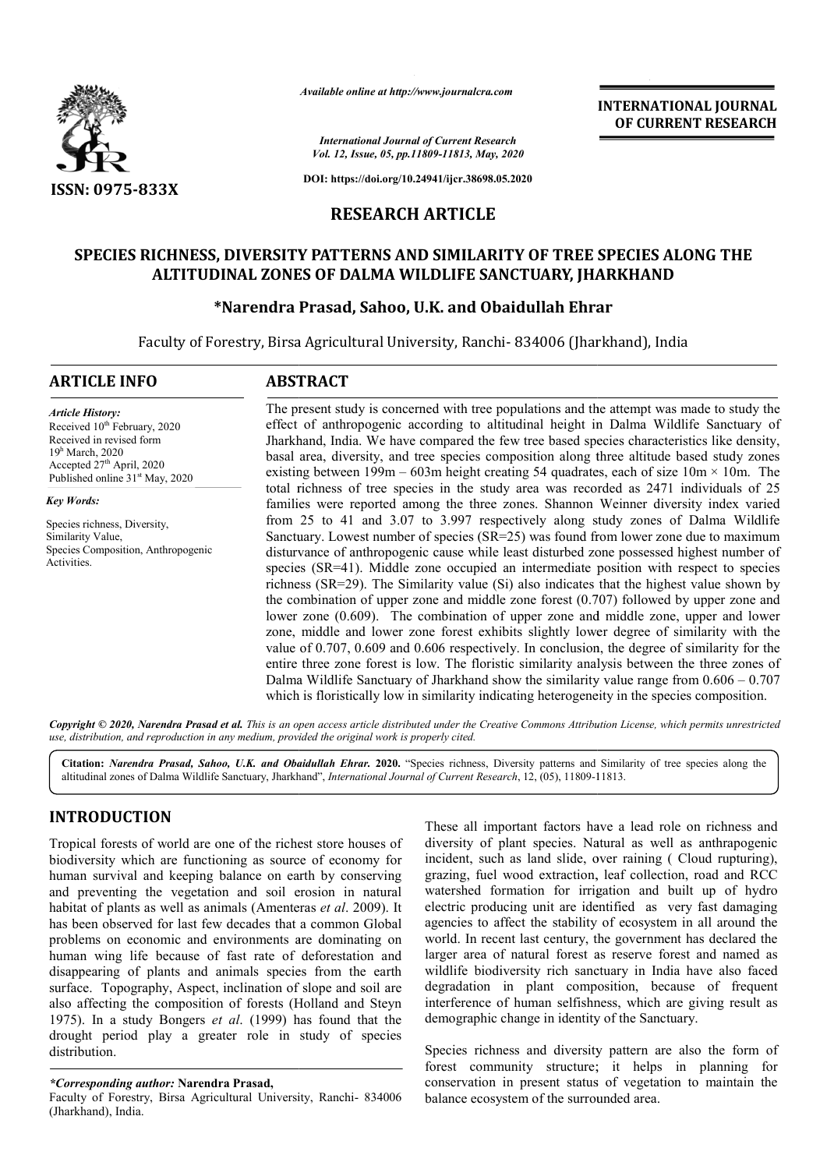

*Available online at http://www.journalcra.com*

**INTERNATIONAL JOURNAL OF CURRENT RESEARCH**

*International Journal of Current Research Vol. 12, Issue, 05, pp.11809-11813, May, 2020*

**DOI: https://doi.org/10.24941/ijcr.38698.05.2020**

## **RESEARCH ARTICLE**

# SPECIES RICHNESS, DIVERSITY PATTERNS AND SIMILARITY OF TREE SPECIES ALONG THE<br>ALTITUDINAL ZONES OF DALMA WILDLIFE SANCTUARY, JHARKHAND<br>Narendra Prasad, Sahoo, U.K. and Obaidullah Ehrar\* **ALTITUDINAL ZONES OF DALMA WILDLIFE SANCTUARY, JHARKHAND**

# **\*Narendra Prasad, Sahoo, U.K. and Obaidullah Ehrar Narendra**

Faculty of Forestry, Birsa Agricultural University, Ranchi- 834006 (Jharkhand), India

#### **ARTICLE INFO ABSTRACT**

Received 10<sup>th</sup> February, 2020 Received in revised form 19h March, 2020 Accepted  $27<sup>th</sup>$  April, 2020 Published online 31<sup>st</sup> May, 2020

Species richness, Diversity, Similarity Value,

Species Composition, Anthropogenic

*Article History:*

*Key Words:*

Activities.

The present study is concerned with tree populations and the attempt was made to study the effect of anthropogenic according to altitudinal height in Dalma Wildlife Sanctuary of Jharkhand, India. We have compared the few tree bas based species characteristics like density, basal area, diversity, and tree species composition along three altitude based study zones existing between  $199m - 603m$  height creating 54 quadrates, each of size  $10m \times 10m$ . The total richness of tree species in the study area was recorded as 2471 individuals of 25 families were reported among the three zones. Shannon Weinner diversity index varied from 25 to 41 and 3.07 to 3.997 respectively along study zones of Dalma Wildlife Sanctuary. Lowest number of species (SR=25) was found from lower zone due to maximum disturvance of anthropogenic cause while least disturbed zone possessed highest number of species (SR=41). Middle zone occupied an intermediate position with respect to species richness (SR=29). The Similarity value (Si) also indicates that the highest value shown by the combination of upper zone and middle zone forest (0.707) followed by upper zone and lower zone (0.609). The combination of upper zone and middle zone, upper and lower zone, middle and lower zo zone forest exhibits slightly lower degree of similarity with the value of 0.707, 0.609 and 0.606 respectively. In conclusion, the degree of similarity for the entire three zone forest is low. The floristic similarity analysis between the three zones of Dalma Wildlife Sanctuary of Jharkhand show the similarity value range from 0.606 which is floristically low in similarity indicating heterogeneity in the species composition. The present study is concerned with tree populations and the attempt was made to study the effect of anthropognic according to alitudinal height in Dalma Wildlife Sanctuary of Dnakhand, India. We have compared the ew tree **INTERNATIONAL JOURNAL OF CURRENT RESEARCH**<br> **OF CURRENT RESEARCH**<br> **OF THE SPECIES ALONG THE**<br> **TUARY, JHARKHAND**<br> **COF TREE SPECIES ALONG THE**<br> **TUARY, JHARKHAND**<br> **COURAL EVARY STANCHAND**<br> **COURAL EVARY STANCHAND**<br> **COU** 

Copyright © 2020, Narendra Prasad et al. This is an open access article distributed under the Creative Commons Attribution License, which permits unrestrictea *use, distribution, and reproduction in any medium, provided the original work is properly cited.*

Citation: *Narendra Prasad, Sahoo, U.K. and Obaidullah Ehrar.* 2020. "Species richness, Diversity patterns and Similarity of tree species along the altitudinal zones of Dalma Wildlife Sanctuary, Jharkhand", *International* altitudinal zones of Dalma Wildlife Sanctuary, Jharkhand", *International Journal of Current Research*, 12, (05), 11809-11813

# **INTRODUCTION**

Tropical forests of world are one of the richest store houses of biodiversity which are functioning as source of economy for human survival and keeping balance on earth by conserving and preventing the vegetation and soil erosion in natural habitat of plants as well as animals (Amenteras et al. 2009). It has been observed for last few decades that a common Global problems on economic and environments are dominating on human wing life because of fast rate of deforestation and disappearing of plants and animals species from the earth surface. Topography, Aspect, inclination of slope and soil are also affecting the composition of forests (Holland and Steyn 1975). In a study Bongers *et al*. (1999) has found that the drought period play a greater role in study of species distribution.

#### *\*Corresponding author:* **Narendra Prasad,**

Faculty of Forestry, Birsa Agricultural University, Ranchi- 834006 (Jharkhand), India.

These all important factors have a lead role on richness and These all important factors have a lead role on richness and diversity of plant species. Natural as well as anthrapogenic incident, such as land slide, over raining ( Cloud rupturing), grazing, fuel wood extraction, leaf collection, road and RCC watershed formation for irrigation and built up of hydro electric producing unit are identified as very fast damaging agencies to affect the stability of ecosystem in all around the world. In recent last century, the government has declared the larger area of natural forest as reserve forest and named as agencies to affect the stability of ecosystem in all around the world. In recent last century, the government has declared the larger area of natural forest as reserve forest and named as wildlife biodiversity rich sanctua degradation in plant composition, because of frequent interference of human selfishness, which are giving result as demographic change in identity of the Sanctuary. such as land slide, over raining (Cloud rupturing), fuel wood extraction, leaf collection, road and RCC d formation for irrigation and built up of hydro

Species richness and diversity pattern are also the form of forest community structure; it helps in planning for conservation in present status of vegetation to maintain the balance ecosystem of the surrounded area.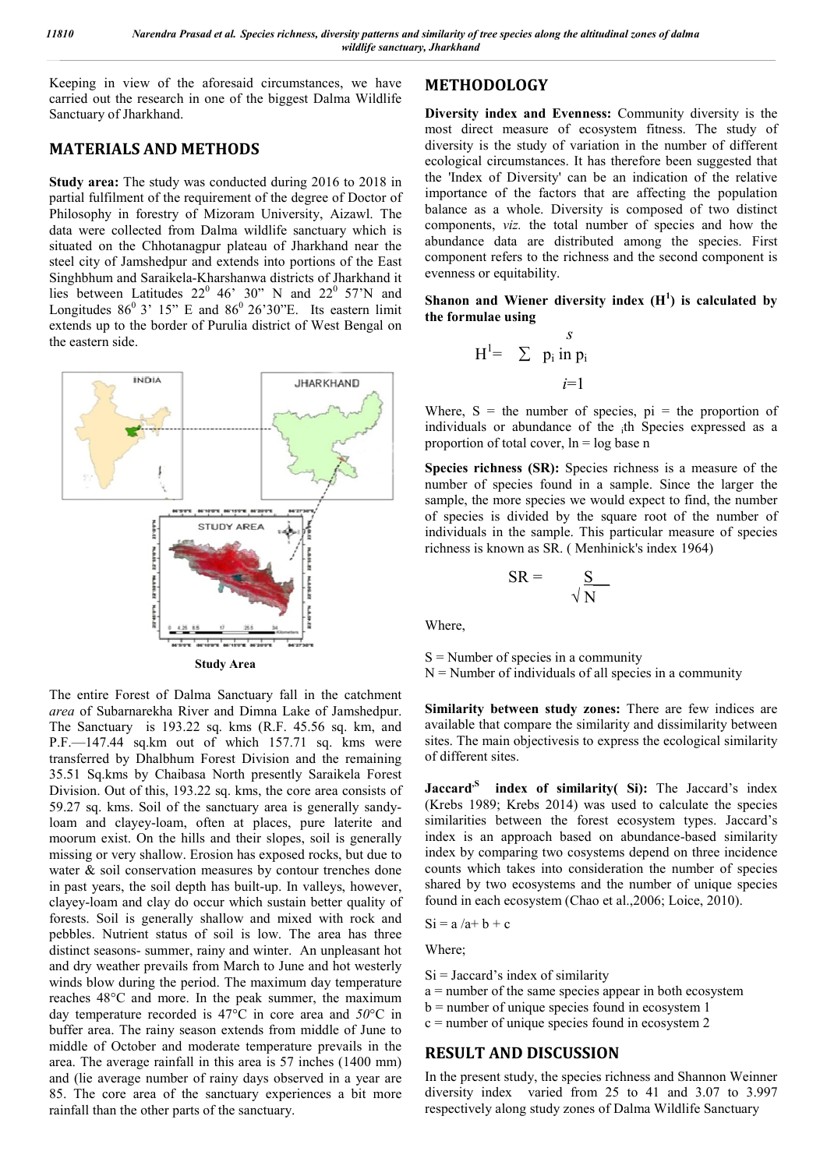Keeping in view of the aforesaid circumstances, we have carried out the research in one of the biggest Dalma Wildlife Sanctuary of Jharkhand.

### **MATERIALS AND METHODS**

**Study area:** The study was conducted during 2016 to 2018 in partial fulfilment of the requirement of the degree of Doctor of Philosophy in forestry of Mizoram University, Aizawl. The data were collected from Dalma wildlife sanctuary which is situated on the Chhotanagpur plateau of Jharkhand near the steel city of Jamshedpur and extends into portions of the East Singhbhum and Saraikela-Kharshanwa districts of Jharkhand it lies between Latitudes  $22^0$  46' 30" N and  $22^0$  57'N and Longitudes  $86^{\circ}$  3' 15" E and  $86^{\circ}$  26'30"E. Its eastern limit extends up to the border of Purulia district of West Bengal on the eastern side.



The entire Forest of Dalma Sanctuary fall in the catchment *area* of Subarnarekha River and Dimna Lake of Jamshedpur. The Sanctuary is 193.22 sq. kms (R.F. 45.56 sq. km, and P.F.—147.44 sq.km out of which 157.71 sq. kms were transferred by Dhalbhum Forest Division and the remaining 35.51 Sq.kms by Chaibasa North presently Saraikela Forest Division. Out of this, 193.22 sq. kms, the core area consists of 59.27 sq. kms. Soil of the sanctuary area is generally sandyloam and clayey-loam, often at places, pure laterite and moorum exist. On the hills and their slopes, soil is generally missing or very shallow. Erosion has exposed rocks, but due to water & soil conservation measures by contour trenches done in past years, the soil depth has built-up. In valleys, however, clayey-loam and clay do occur which sustain better quality of forests. Soil is generally shallow and mixed with rock and pebbles. Nutrient status of soil is low. The area has three distinct seasons- summer, rainy and winter. An unpleasant hot and dry weather prevails from March to June and hot westerly winds blow during the period. The maximum day temperature reaches 48°C and more. In the peak summer, the maximum day temperature recorded is 47°C in core area and *50*°C in buffer area. The rainy season extends from middle of June to middle of October and moderate temperature prevails in the area. The average rainfall in this area is 57 inches (1400 mm) and (lie average number of rainy days observed in a year are 85. The core area of the sanctuary experiences a bit more rainfall than the other parts of the sanctuary.

# **METHODOLOGY**

**Diversity index and Evenness:** Community diversity is the most direct measure of ecosystem fitness. The study of diversity is the study of variation in the number of different ecological circumstances. It has therefore been suggested that the 'Index of Diversity' can be an indication of the relative importance of the factors that are affecting the population balance as a whole. Diversity is composed of two distinct components, *viz.* the total number of species and how the abundance data are distributed among the species. First component refers to the richness and the second component is evenness or equitability.

**Shanon and Wiener diversity index (H<sup>1</sup> ) is calculated by the formulae using** 

$$
H^{l} = \sum_{i=1}^{S} p_i \text{ in } p_i
$$

Where,  $S =$  the number of species,  $pi =$  the proportion of individuals or abundance of the ith Species expressed as a proportion of total cover,  $\ln = \log \theta$  base n

**Species richness (SR):** Species richness is a measure of the number of species found in a sample. Since the larger the sample, the more species we would expect to find, the number of species is divided by the square root of the number of individuals in the sample. This particular measure of species richness is known as SR. ( Menhinick's index 1964)

$$
SR = \frac{S}{\sqrt{N}}
$$

Where,

 $S =$  Number of species in a community  $N =$  Number of individuals of all species in a community

**Similarity between study zones:** There are few indices are available that compare the similarity and dissimilarity between sites. The main objectivesis to express the ecological similarity of different sites.

Jaccard<sup>,S</sup> index of similarity( Si): The Jaccard's index (Krebs 1989; Krebs 2014) was used to calculate the species similarities between the forest ecosystem types. Jaccard's index is an approach based on abundance-based similarity index by comparing two cosystems depend on three incidence counts which takes into consideration the number of species shared by two ecosystems and the number of unique species found in each ecosystem (Chao et al.,2006; Loice, 2010).

$$
Si = a/a + b + c
$$

Where;

- $Si = Jaccard's index of similarity$
- $a =$  number of the same species appear in both ecosystem
- $b =$  number of unique species found in ecosystem 1
- $c =$  number of unique species found in ecosystem 2

#### **RESULT AND DISCUSSION**

In the present study, the species richness and Shannon Weinner diversity index varied from 25 to 41 and 3.07 to 3.997 respectively along study zones of Dalma Wildlife Sanctuary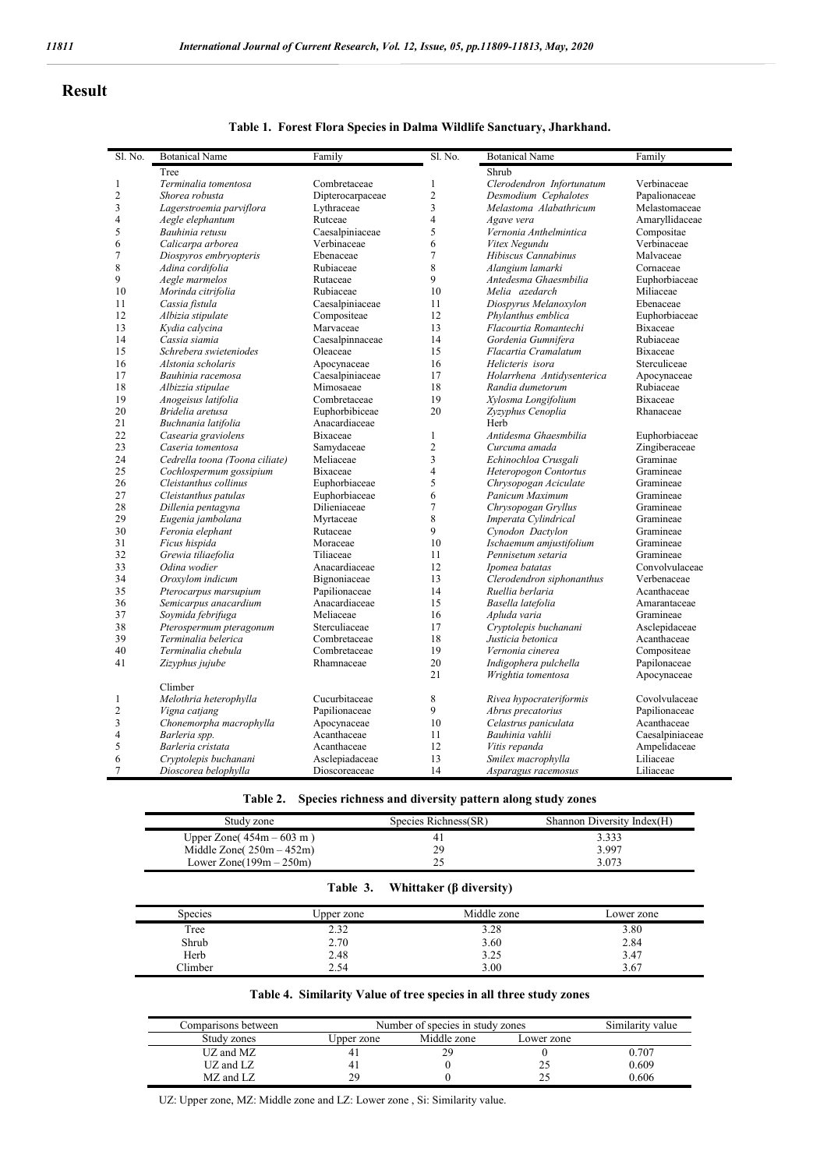#### **Result**

#### **Table 1. Forest Flora Species in Dalma Wildlife Sanctuary, Jharkhand.**

| Sl. No.        | <b>Botanical Name</b>          | Family                    | Sl. No.        | <b>Botanical Name</b>      | Family          |
|----------------|--------------------------------|---------------------------|----------------|----------------------------|-----------------|
|                | Tree                           |                           |                | Shrub                      |                 |
| $\mathbf{1}$   | Terminalia tomentosa           | Combretaceae              | $\mathbf{1}$   | Clerodendron Infortunatum  | Verbinaceae     |
| $\overline{c}$ | Shorea robusta                 | Dipterocarpaceae          | $\overline{c}$ | Desmodium Cephalotes       | Papalionaceae   |
| 3              | Lagerstroemia parviflora       | Lythraceae                | 3              | Melastoma Alabathricum     | Melastomaceae   |
| $\overline{4}$ | Aegle elephantum               | Rutceae                   | $\overline{4}$ | Agave vera                 | Amarvllidaceae  |
| 5              | Bauhinia retusu                | Caesalpiniaceae           | 5              | Vernonia Anthelmintica     | Compositae      |
| 6              | Calicarpa arborea              | Verbinaceae               | 6              | Vitex Negundu              | Verbinaceae     |
| 7              | Diospyros embryopteris         | Ebenaceae                 | 7              | Hibiscus Cannabinus        | Malvaceae       |
| 8              | Adina cordifolia               | Rubiaceae                 | 8              | Alangium lamarki           | Cornaceae       |
| 9              | Aegle marmelos                 | Rutaceae                  | 9              | Antedesma Ghaesmbilia      | Euphorbiaceae   |
| 10             | Morinda citrifolia             | Rubiaceae                 | 10             | Melia azedarch             | Miliaceae       |
| 11             | Cassia fistula                 | Caesalpiniaceae           | 11             | Diospyrus Melanoxylon      | Ebenaceae       |
| 12             | Albizia stipulate              | Compositeae               | 12             | Phylanthus emblica         | Euphorbiaceae   |
| 13             | Kydia calycina                 | Marvaceae                 | 13             | Flacourtia Romantechi      | <b>Bixaceae</b> |
| 14             | Cassia siamia                  | Caesalpinnaceae           | 14             | Gordenia Gumnifera         | Rubiaceae       |
| 15             | Schrebera swieteniodes         | Oleaceae                  | 15             | Flacartia Cramalatum       | Bixaceae        |
| 16             | Alstonia scholaris             | Apocynaceae               | 16             | Helicteris isora           | Sterculiceae    |
| 17             | Bauhinia racemosa              | Caesalpiniaceae           | 17             | Holarrhena Antidysenterica | Apocynaceae     |
| 18             | Albizzia stipulae              | Mimosaeae                 | 18             | Randia dumetorum           | Rubiaceae       |
| 19             | Anogeisus latifolia            | Combretaceae              | 19             | Xylosma Longifolium        | <b>Bixaceae</b> |
| 20             | Bridelia aretusa               | Euphorbibiceae            | 20             | Zyzyphus Cenoplia          | Rhanaceae       |
| 21             |                                |                           |                | Herb                       |                 |
| 22             | Buchnania latifolia            | Anacardiaceae<br>Bixaceae | $\mathbf{1}$   | Antidesma Ghaesmbilia      |                 |
|                | Casearia graviolens            |                           |                |                            | Euphorbiaceae   |
| 23             | Caseria tomentosa              | Samydaceae                | $\overline{c}$ | Curcuma amada              | Zingiberaceae   |
| 24             | Cedrella toona (Toona ciliate) | Meliaceae                 | 3              | Echinochloa Crusgali       | Graminae        |
| 25             | Cochlospermum gossipium        | Bixaceae                  | 4              | Heteropogon Contortus      | Gramineae       |
| 26             | Cleistanthus collinus          | Euphorbiaceae             | 5              | Chrysopogan Aciculate      | Gramineae       |
| 27             | Cleistanthus patulas           | Euphorbiaceae             | 6              | Panicum Maximum            | Gramineae       |
| 28             | Dillenia pentagyna             | Dilieniaceae              | $\overline{7}$ | Chrysopogan Gryllus        | Gramineae       |
| 29             | Eugenia jambolana              | Myrtaceae                 | 8              | Imperata Cylindrical       | Gramineae       |
| 30             | Feronia elephant               | Rutaceae                  | 9              | Cynodon Dactylon           | Gramineae       |
| 31             | Ficus hispida                  | Moraceae                  | 10             | Ischaemum amjustifolium    | Gramineae       |
| 32             | Grewia tiliaefolia             | Tiliaceae                 | 11             | Pennisetum setaria         | Gramineae       |
| 33             | Odina wodier                   | Anacardiaceae             | 12             | Ipomea batatas             | Convolvulaceae  |
| 34             | Oroxylom indicum               | Bignoniaceae              | 13             | Clerodendron siphonanthus  | Verbenaceae     |
| 35             | Pterocarpus marsupium          | Papilionaceae             | 14             | Ruellia berlaria           | Acanthaceae     |
| 36             | Semicarpus anacardium          | Anacardiaceae             | 15             | Basella latefolia          | Amarantaceae    |
| 37             | Soymida febrifuga              | Meliaceae                 | 16             | Apluda varia               | Gramineae       |
| 38             | Pterospermum pteragonum        | Sterculiaceae             | 17             | Cryptolepis buchanani      | Asclepidaceae   |
| 39             | Terminalia belerica            | Combretaceae              | 18             | Justicia betonica          | Acanthaceae     |
| 40             | Terminalia chebula             | Combretaceae              | 19             | Vernonia cinerea           | Compositeae     |
| 41             | Zizyphus jujube                | Rhamnaceae                | 20             | Indigophera pulchella      | Papilonaceae    |
|                |                                |                           | 21             | Wrightia tomentosa         | Apocynaceae     |
|                | Climber                        |                           |                |                            |                 |
| $\mathbf{1}$   | Melothria heterophylla         | Cucurbitaceae             | 8              | Rivea hypocrateriformis    | Covolvulaceae   |
| $\overline{c}$ | Vigna catiang                  | Papilionaceae             | 9              | Abrus precatorius          | Papilionaceae   |
| 3              | Chonemorpha macrophylla        | Apocynaceae               | 10             | Celastrus paniculata       | Acanthaceae     |
| 4              | Barleria spp.                  | Acanthaceae               | 11             | Bauhinia vahlii            | Caesalpiniaceae |
| 5              | Barleria cristata              | Acanthaceae               | 12             | Vitis repanda              | Ampelidaceae    |
| 6              | Cryptolepis buchanani          | Asclepiadaceae            | 13             | Smilex macrophylla         | Liliaceae       |
| 7              | Dioscorea belophylla           | Dioscoreaceae             | 14             | Asparagus racemosus        | Liliaceae       |

| Table 2. |  |  | Species richness and diversity pattern along study zones |  |
|----------|--|--|----------------------------------------------------------|--|
|          |  |  |                                                          |  |

| Study zone                  | Species Richness(SR) | Shannon Diversity Index(H) |
|-----------------------------|----------------------|----------------------------|
| Upper Zone $(454m - 603m)$  |                      | 3.333                      |
| Middle Zone $(250m - 452m)$ | 29                   | 3.997                      |
| Lower Zone $(199m - 250m)$  |                      | 3.073                      |

| Table 3. | Whittaker $(\beta$ diversity) |  |
|----------|-------------------------------|--|
|----------|-------------------------------|--|

| <b>Species</b> | ∪pper zone | Middle zone | Lower zone |
|----------------|------------|-------------|------------|
| Tree           | 2.32       | 3.28        | 3.80       |
| Shrub          | 2.70       | 3.60        | 2.84       |
| Herb           | 2.48       | 3.25        | 3.47       |
| Climber        | 2.54       | 3.00        | 3.67       |

#### **Table 4. Similarity Value of tree species in all three study zones**

| Comparisons between |                | Number of species in study zones |            |       |
|---------------------|----------------|----------------------------------|------------|-------|
| Study zones         | Upper zone     | Middle zone                      | Lower zone |       |
| UZ and MZ           | 4,             |                                  |            | 0.707 |
| UZ and LZ           | 4 <sub>1</sub> |                                  |            | 0.609 |
| MZ and LZ           | 29             |                                  |            | 0.606 |

UZ: Upper zone, MZ: Middle zone and LZ: Lower zone , Si: Similarity value.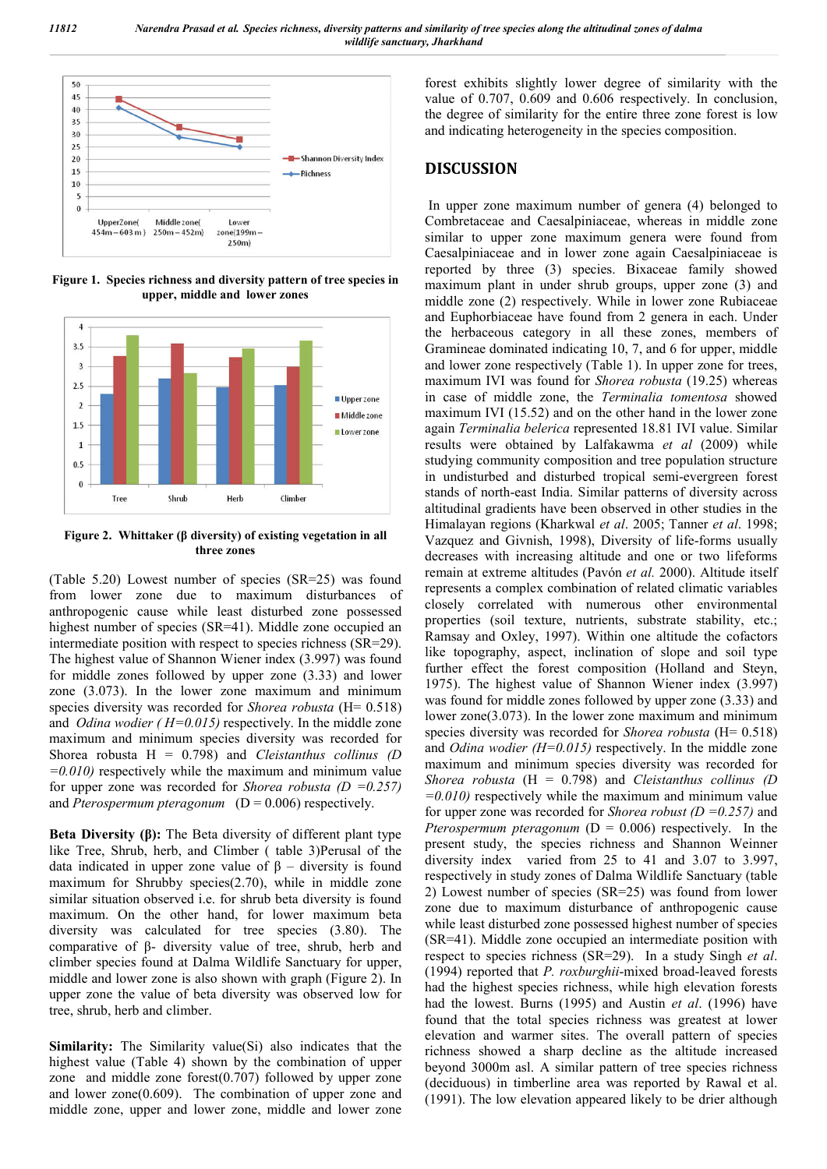

**Figure 1. Species richness and diversity pattern of tree species in upper, middle and lower zones**



**Figure 2. Whittaker (β diversity) of existing vegetation in all three zones**

(Table 5.20) Lowest number of species (SR=25) was found from lower zone due to maximum disturbances of anthropogenic cause while least disturbed zone possessed highest number of species (SR=41). Middle zone occupied an intermediate position with respect to species richness (SR=29). The highest value of Shannon Wiener index (3.997) was found for middle zones followed by upper zone (3.33) and lower zone (3.073). In the lower zone maximum and minimum species diversity was recorded for *Shorea robusta* (H= 0.518) and *Odina wodier ( H=0.015)* respectively. In the middle zone maximum and minimum species diversity was recorded for Shorea robusta H = 0.798) and *Cleistanthus collinus (D =0.010)* respectively while the maximum and minimum value for upper zone was recorded for *Shorea robusta (D =0.257)* and *Pterospermum pteragonum*  $(D = 0.006)$  respectively.

**Beta Diversity (β):** The Beta diversity of different plant type like Tree, Shrub, herb, and Climber ( table 3)Perusal of the data indicated in upper zone value of β – diversity is found maximum for Shrubby species(2.70), while in middle zone similar situation observed i.e. for shrub beta diversity is found maximum. On the other hand, for lower maximum beta diversity was calculated for tree species (3.80). The comparative of β- diversity value of tree, shrub, herb and climber species found at Dalma Wildlife Sanctuary for upper, middle and lower zone is also shown with graph (Figure 2). In upper zone the value of beta diversity was observed low for tree, shrub, herb and climber.

**Similarity:** The Similarity value(Si) also indicates that the highest value (Table 4) shown by the combination of upper zone and middle zone forest(0.707) followed by upper zone and lower zone(0.609). The combination of upper zone and middle zone, upper and lower zone, middle and lower zone

forest exhibits slightly lower degree of similarity with the value of 0.707, 0.609 and 0.606 respectively. In conclusion, the degree of similarity for the entire three zone forest is low and indicating heterogeneity in the species composition.

#### **DISCUSSION**

In upper zone maximum number of genera (4) belonged to Combretaceae and Caesalpiniaceae, whereas in middle zone similar to upper zone maximum genera were found from Caesalpiniaceae and in lower zone again Caesalpiniaceae is reported by three (3) species. Bixaceae family showed maximum plant in under shrub groups, upper zone (3) and middle zone (2) respectively. While in lower zone Rubiaceae and Euphorbiaceae have found from 2 genera in each. Under the herbaceous category in all these zones, members of Gramineae dominated indicating 10, 7, and 6 for upper, middle and lower zone respectively (Table 1). In upper zone for trees, maximum IVI was found for *Shorea robusta* (19.25) whereas in case of middle zone, the *Terminalia tomentosa* showed maximum IVI (15.52) and on the other hand in the lower zone again *Terminalia belerica* represented 18.81 IVI value. Similar results were obtained by Lalfakawma *et al* (2009) while studying community composition and tree population structure in undisturbed and disturbed tropical semi-evergreen forest stands of north-east India. Similar patterns of diversity across altitudinal gradients have been observed in other studies in the Himalayan regions (Kharkwal *et al*. 2005; Tanner *et al*. 1998; Vazquez and Givnish, 1998), Diversity of life-forms usually decreases with increasing altitude and one or two lifeforms remain at extreme altitudes (Pavón *et al.* 2000). Altitude itself represents a complex combination of related climatic variables closely correlated with numerous other environmental properties (soil texture, nutrients, substrate stability, etc.; Ramsay and Oxley, 1997). Within one altitude the cofactors like topography, aspect, inclination of slope and soil type further effect the forest composition (Holland and Steyn, 1975). The highest value of Shannon Wiener index (3.997) was found for middle zones followed by upper zone (3.33) and lower zone(3.073). In the lower zone maximum and minimum species diversity was recorded for *Shorea robusta* (H= 0.518) and *Odina wodier (H=0.015)* respectively. In the middle zone maximum and minimum species diversity was recorded for *Shorea robusta* (H = 0.798) and *Cleistanthus collinus (D =0.010)* respectively while the maximum and minimum value for upper zone was recorded for *Shorea robust (D =0.257)* and *Pterospermum pteragonum* ( $D = 0.006$ ) respectively. In the present study, the species richness and Shannon Weinner diversity index varied from 25 to 41 and 3.07 to 3.997, respectively in study zones of Dalma Wildlife Sanctuary (table 2) Lowest number of species (SR=25) was found from lower zone due to maximum disturbance of anthropogenic cause while least disturbed zone possessed highest number of species (SR=41). Middle zone occupied an intermediate position with respect to species richness (SR=29). In a study Singh *et al*. (1994) reported that *P. roxburghii*-mixed broad-leaved forests had the highest species richness, while high elevation forests had the lowest. Burns (1995) and Austin *et al*. (1996) have found that the total species richness was greatest at lower elevation and warmer sites. The overall pattern of species richness showed a sharp decline as the altitude increased beyond 3000m asl. A similar pattern of tree species richness (deciduous) in timberline area was reported by Rawal et al. (1991). The low elevation appeared likely to be drier although